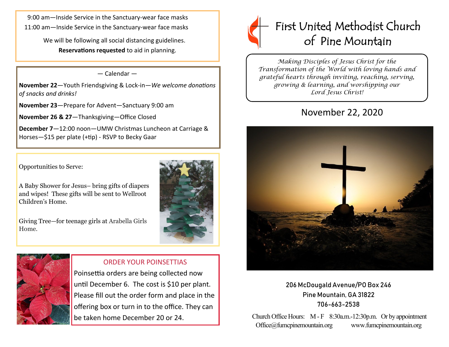9:00 am—Inside Service in the Sanctuary-wear face masks 11:00 am—Inside Service in the Sanctuary-wear face masks

> We will be following all social distancing guidelines. **Reservations requested** to aid in planning.

#### — Calendar —

**November 22**—Youth Friendsgiving & Lock-in—*We welcome donations of snacks and drinks!*

**November 23**—Prepare for Advent—Sanctuary 9:00 am

**November 26 & 27**—Thanksgiving—Office Closed

**December 7**—12:00 noon—UMW Christmas Luncheon at Carriage & Horses—\$15 per plate (+tip) - RSVP to Becky Gaar

Opportunities to Serve:

A Baby Shower for Jesus– bring gifts of diapers and wipes! These gifts will be sent to Wellroot Children's Home.

Giving Tree—for teenage girls at Arabella Girls Home.





### ORDER YOUR POINSETTIAS

Poinsettia orders are being collected now until December 6. The cost is \$10 per plant. Please fill out the order form and place in the offering box or turn in to the office. They can be taken home December 20 or 24.



*Making Disciples of Jesus Christ for the Transformation of the World with loving hands and grateful hearts through inviting, reaching, serving, growing & learning, and worshipping our Lord Jesus Christ!* 

# November 22, 2020



206 McDougald Avenue/PO Box 246 Pine Mountain, GA 31822 706-663-2538

Church Office Hours: M - F 8:30a.m.-12:30p.m. Or by appointment Office@fumcpinemountain.org www.fumcpinemountain.org